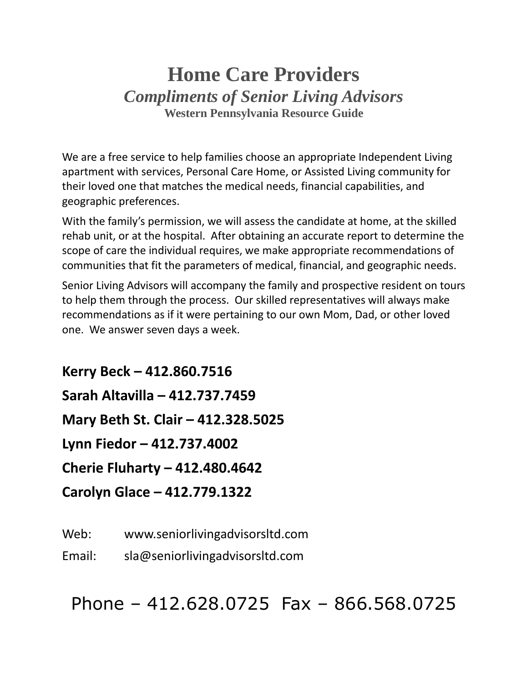## **Home Care Providers** *Compliments of Senior Living Advisors* **Western Pennsylvania Resource Guide**

We are a free service to help families choose an appropriate Independent Living apartment with services, Personal Care Home, or Assisted Living community for their loved one that matches the medical needs, financial capabilities, and geographic preferences.

With the family's permission, we will assess the candidate at home, at the skilled rehab unit, or at the hospital. After obtaining an accurate report to determine the scope of care the individual requires, we make appropriate recommendations of communities that fit the parameters of medical, financial, and geographic needs.

Senior Living Advisors will accompany the family and prospective resident on tours to help them through the process. Our skilled representatives will always make recommendations as if it were pertaining to our own Mom, Dad, or other loved one. We answer seven days a week.

**Kerry Beck – 412.860.7516 Sarah Altavilla – 412.737.7459 Mary Beth St. Clair – 412.328.5025 Lynn Fiedor – 412.737.4002 Cherie Fluharty – 412.480.4642 Carolyn Glace – 412.779.1322**

Web: www.seniorlivingadvisorsltd.com

Email: sla@seniorlivingadvisorsltd.com

Phone – 412.628.0725 Fax – 866.568.0725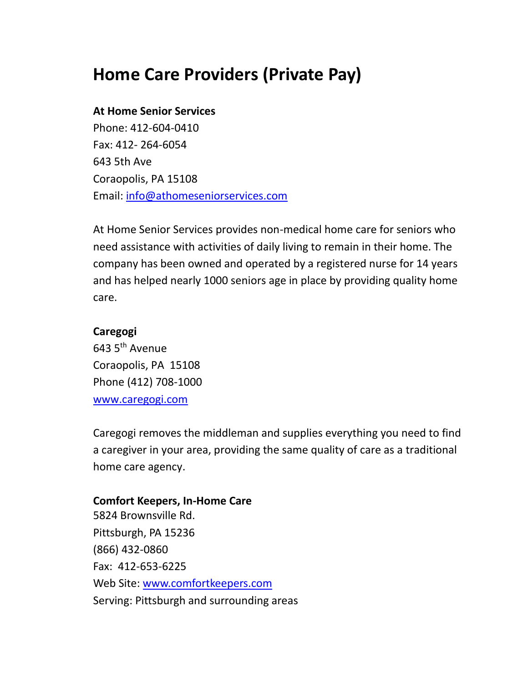# **Home Care Providers (Private Pay)**

#### **At Home Senior Services**

Phone: 412-604-0410 Fax: 412- 264-6054 643 5th Ave Coraopolis, PA 15108 Email: [info@athomeseniorservices.com](mailto:info@athomeseniorservices.com)

At Home Senior Services provides non-medical home care for seniors who need assistance with activities of daily living to remain in their home. The company has been owned and operated by a registered nurse for 14 years and has helped nearly 1000 seniors age in place by providing quality home care.

#### **Caregogi**

643 5th Avenue Coraopolis, PA 15108 Phone (412) 708-1000 [www.caregogi.com](http://www.caregogi.com/)

Caregogi removes the middleman and supplies everything you need to find a caregiver in your area, providing the same quality of care as a traditional home care agency.

#### **Comfort Keepers, In-Home Care**

5824 Brownsville Rd. Pittsburgh, PA 15236 (866) 432-0860 Fax: 412-653-6225 Web Site: [www.comfortkeepers.com](http://www.comfortkeepers.com/) Serving: Pittsburgh and surrounding areas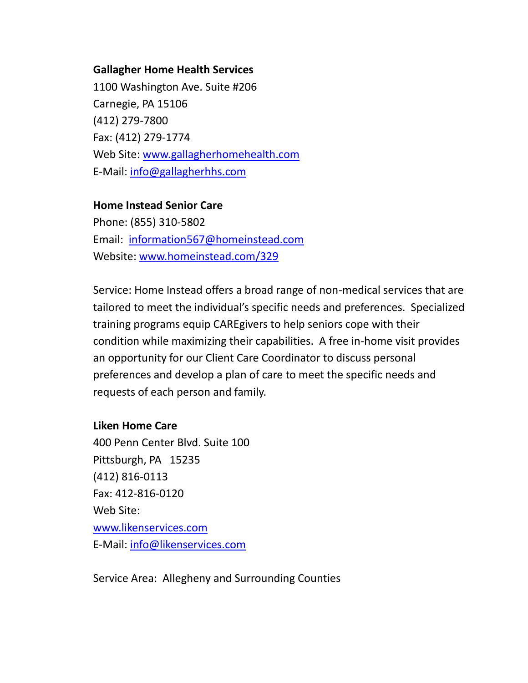#### **Gallagher Home Health Services**

1100 Washington Ave. Suite #206 Carnegie, PA 15106 (412) 279-7800 Fax: (412) 279-1774 Web Site: [www.gallagherhomehealth.com](http://www.gallagherhomehealth.com/) E-Mail: [info@gallagherhhs.com](mailto:info@gallagherhhs.com)

#### **Home Instead Senior Care**

Phone: (855) 310-5802 Email: [information567@homeinstead.com](mailto:information567@homeinstead.com) Website: [www.homeinstead.com/329](http://www.homeinstead.com/329)

Service: Home Instead offers a broad range of non-medical services that are tailored to meet the individual's specific needs and preferences. Specialized training programs equip CAREgivers to help seniors cope with their condition while maximizing their capabilities. A free in-home visit provides an opportunity for our Client Care Coordinator to discuss personal preferences and develop a plan of care to meet the specific needs and requests of each person and family.

#### **Liken Home Care**

400 Penn Center Blvd. Suite 100 Pittsburgh, PA 15235 (412) 816-0113 Fax: 412-816-0120 Web Site: [www.likenservices.com](http://www.likenservices.com/) E-Mail: [info@likenservices.com](mailto:info@likenservices.com)

Service Area: Allegheny and Surrounding Counties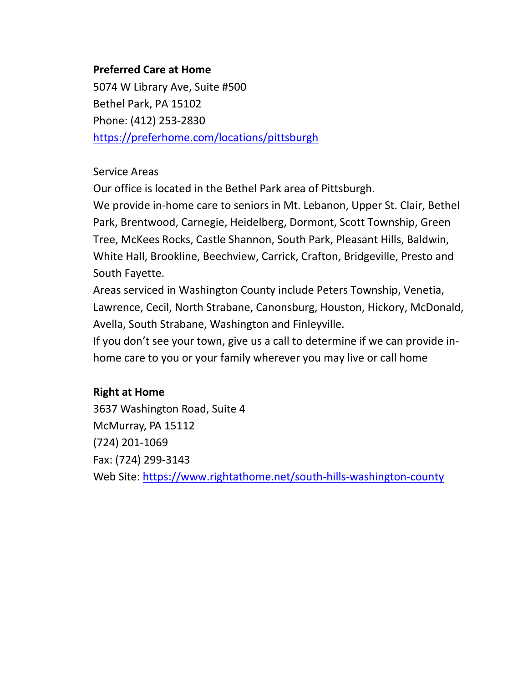### **Preferred Care at Home**

5074 W Library Ave, Suite #500 Bethel Park, PA 15102 Phone: (412) 253-2830 <https://preferhome.com/locations/pittsburgh>

#### Service Areas

Our office is located in the Bethel Park area of Pittsburgh.

We provide in-home care to seniors in Mt. Lebanon, Upper St. Clair, Bethel Park, Brentwood, Carnegie, Heidelberg, Dormont, Scott Township, Green Tree, McKees Rocks, Castle Shannon, South Park, Pleasant Hills, Baldwin, White Hall, Brookline, Beechview, Carrick, Crafton, Bridgeville, Presto and South Fayette.

Areas serviced in Washington County include Peters Township, Venetia, Lawrence, Cecil, North Strabane, Canonsburg, Houston, Hickory, McDonald, Avella, South Strabane, Washington and Finleyville.

If you don't see your town, give us a call to determine if we can provide inhome care to you or your family wherever you may live or call home

## **Right at Home**

3637 Washington Road, Suite 4 McMurray, PA 15112 (724) 201-1069 Fax: (724) 299-3143 Web Site:<https://www.rightathome.net/south-hills-washington-county>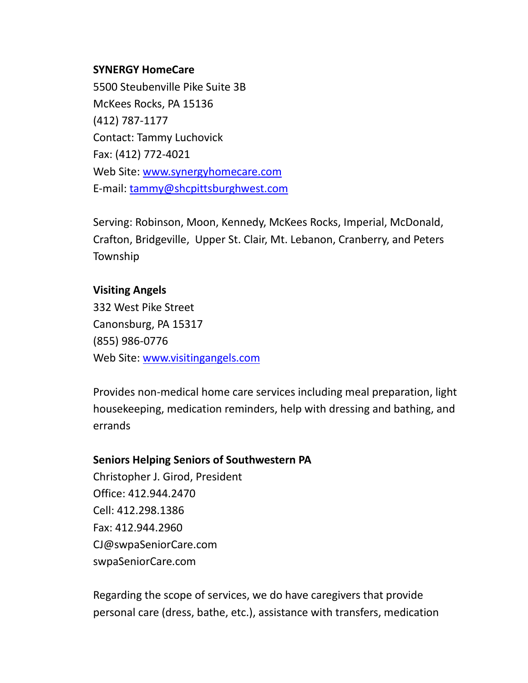#### **SYNERGY HomeCare**

5500 Steubenville Pike Suite 3B McKees Rocks, PA 15136 (412) 787-1177 Contact: Tammy Luchovick Fax: (412) 772-4021 Web Site: [www.synergyhomecare.com](http://www.synergyhomecare.com/) E-mail: [tammy@shcpittsburghwest.com](mailto:tammy@shcpittsburghwest.com)

Serving: Robinson, Moon, Kennedy, McKees Rocks, Imperial, McDonald, Crafton, Bridgeville, Upper St. Clair, Mt. Lebanon, Cranberry, and Peters Township

#### **Visiting Angels**

332 West Pike Street Canonsburg, PA 15317 (855) 986-0776 Web Site: [www.visitingangels.com](http://www.visitingangels.com/)

Provides non-medical home care services including meal preparation, light housekeeping, medication reminders, help with dressing and bathing, and errands

#### **Seniors Helping Seniors of Southwestern PA**

Christopher J. Girod, President Office: 412.944.2470 Cell: 412.298.1386 Fax: 412.944.2960 CJ@swpaSeniorCare.com swpaSeniorCare.com

Regarding the scope of services, we do have caregivers that provide personal care (dress, bathe, etc.), assistance with transfers, medication